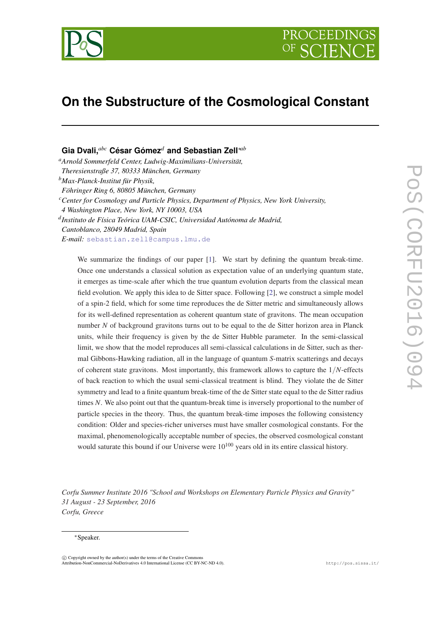

# **On the Substructure of the Cosmological Constant**

## **Gia Dvali,***abc* **César Gómez***<sup>d</sup>* **and Sebastian Zell**∗*ab*

*<sup>a</sup>Arnold Sommerfeld Center, Ludwig-Maximilians-Universität, Theresienstraße 37, 80333 München, Germany <sup>b</sup>Max-Planck-Institut für Physik, Föhringer Ring 6, 80805 München, Germany <sup>c</sup>Center for Cosmology and Particle Physics, Department of Physics, New York University, 4 Washington Place, New York, NY 10003, USA d Instituto de Física Teórica UAM-CSIC, Universidad Autónoma de Madrid, Cantoblanco, 28049 Madrid, Spain E-mail:* [sebastian.zell@campus.lmu.de](mailto:sebastian.zell@campus.lmu.de)

We summarize the findings of our paper [[1\]](#page-14-0). We start by defining the quantum break-time. Once one understands a classical solution as expectation value of an underlying quantum state, it emerges as time-scale after which the true quantum evolution departs from the classical mean field evolution. We apply this idea to de Sitter space. Following [[2\]](#page-14-0), we construct a simple model of a spin-2 field, which for some time reproduces the de Sitter metric and simultaneously allows for its well-defined representation as coherent quantum state of gravitons. The mean occupation number *N* of background gravitons turns out to be equal to the de Sitter horizon area in Planck units, while their frequency is given by the de Sitter Hubble parameter. In the semi-classical limit, we show that the model reproduces all semi-classical calculations in de Sitter, such as thermal Gibbons-Hawking radiation, all in the language of quantum *S*-matrix scatterings and decays of coherent state gravitons. Most importantly, this framework allows to capture the 1/*N*-effects of back reaction to which the usual semi-classical treatment is blind. They violate the de Sitter symmetry and lead to a finite quantum break-time of the de Sitter state equal to the de Sitter radius times *N*. We also point out that the quantum-break time is inversely proportional to the number of particle species in the theory. Thus, the quantum break-time imposes the following consistency condition: Older and species-richer universes must have smaller cosmological constants. For the maximal, phenomenologically acceptable number of species, the observed cosmological constant would saturate this bound if our Universe were  $10^{100}$  years old in its entire classical history.

*Corfu Summer Institute 2016 "School and Workshops on Elementary Particle Physics and Gravity" 31 August - 23 September, 2016 Corfu, Greece*

#### <sup>∗</sup>Speaker.

 $\overline{c}$  Copyright owned by the author(s) under the terms of the Creative Common Attribution-NonCommercial-NoDerivatives 4.0 International License (CC BY-NC-ND 4.0). http://pos.sissa.it/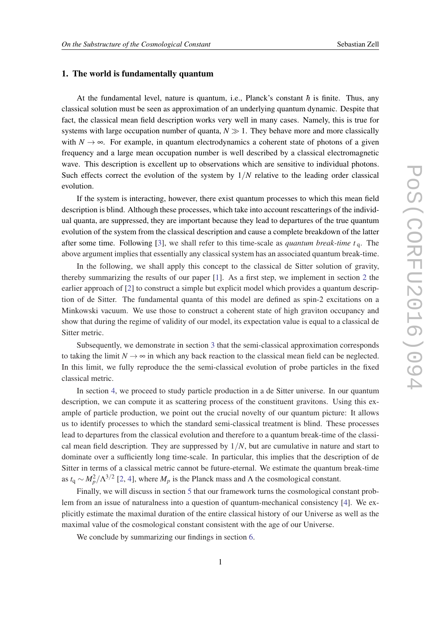### 1. The world is fundamentally quantum

At the fundamental level, nature is quantum, i.e., Planck's constant  $\hbar$  is finite. Thus, any classical solution must be seen as approximation of an underlying quantum dynamic. Despite that fact, the classical mean field description works very well in many cases. Namely, this is true for systems with large occupation number of quanta,  $N \gg 1$ . They behave more and more classically with  $N \to \infty$ . For example, in quantum electrodynamics a coherent state of photons of a given frequency and a large mean occupation number is well described by a classical electromagnetic wave. This description is excellent up to observations which are sensitive to individual photons. Such effects correct the evolution of the system by  $1/N$  relative to the leading order classical evolution.

If the system is interacting, however, there exist quantum processes to which this mean field description is blind. Although these processes, which take into account rescatterings of the individual quanta, are suppressed, they are important because they lead to departures of the true quantum evolution of the system from the classical description and cause a complete breakdown of the latter after some time. Following [[3](#page-14-0)], we shall refer to this time-scale as *quantum break-time t* <sup>q</sup>. The above argument implies that essentially any classical system has an associated quantum break-time.

In the following, we shall apply this concept to the classical de Sitter solution of gravity, thereby summarizing the results of our paper [[1](#page-14-0)]. As a first step, we implement in section [2](#page-2-0) the earlier approach of [\[2\]](#page-14-0) to construct a simple but explicit model which provides a quantum description of de Sitter. The fundamental quanta of this model are defined as spin-2 excitations on a Minkowski vacuum. We use those to construct a coherent state of high graviton occupancy and show that during the regime of validity of our model, its expectation value is equal to a classical de Sitter metric.

Subsequently, we demonstrate in section [3](#page-6-0) that the semi-classical approximation corresponds to taking the limit  $N \to \infty$  in which any back reaction to the classical mean field can be neglected. In this limit, we fully reproduce the the semi-classical evolution of probe particles in the fixed classical metric.

In section [4](#page-8-0), we proceed to study particle production in a de Sitter universe. In our quantum description, we can compute it as scattering process of the constituent gravitons. Using this example of particle production, we point out the crucial novelty of our quantum picture: It allows us to identify processes to which the standard semi-classical treatment is blind. These processes lead to departures from the classical evolution and therefore to a quantum break-time of the classical mean field description. They are suppressed by 1/*N*, but are cumulative in nature and start to dominate over a sufficiently long time-scale. In particular, this implies that the description of de Sitter in terms of a classical metric cannot be future-eternal. We estimate the quantum break-time as  $t_q \sim M_p^2/\Lambda^{3/2}$  [\[2,](#page-14-0) [4\]](#page-14-0), where  $M_p$  is the Planck mass and  $\Lambda$  the cosmological constant.

Finally, we will discuss in section [5](#page-12-0) that our framework turns the cosmological constant problem from an issue of naturalness into a question of quantum-mechanical consistency [[4](#page-14-0)]. We explicitly estimate the maximal duration of the entire classical history of our Universe as well as the maximal value of the cosmological constant consistent with the age of our Universe.

We conclude by summarizing our findings in section [6.](#page-13-0)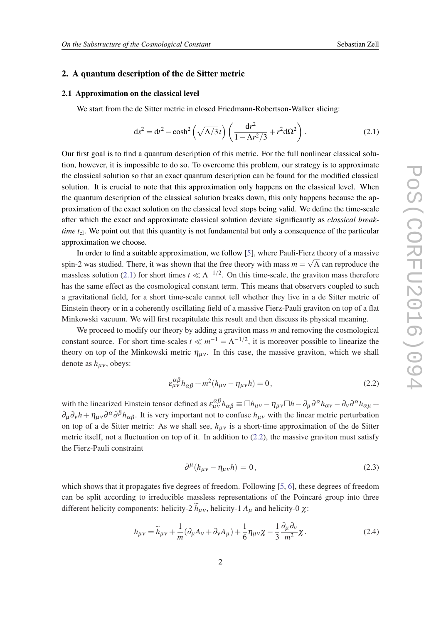#### <span id="page-2-0"></span>2. A quantum description of the de Sitter metric

#### 2.1 Approximation on the classical level

We start from the de Sitter metric in closed Friedmann-Robertson-Walker slicing:

$$
ds^{2} = dt^{2} - \cosh^{2}\left(\sqrt{\Lambda/3}t\right) \left(\frac{dr^{2}}{1 - \Lambda r^{2}/3} + r^{2} d\Omega^{2}\right).
$$
 (2.1)

Our first goal is to find a quantum description of this metric. For the full nonlinear classical solution, however, it is impossible to do so. To overcome this problem, our strategy is to approximate the classical solution so that an exact quantum description can be found for the modified classical solution. It is crucial to note that this approximation only happens on the classical level. When the quantum description of the classical solution breaks down, this only happens because the approximation of the exact solution on the classical level stops being valid. We define the time-scale after which the exact and approximate classical solution deviate significantly as *classical breaktime t<sub>cl</sub>*. We point out that this quantity is not fundamental but only a consequence of the particular approximation we choose.

In order to find a suitable approximation, we follow [[5](#page-14-0)], where Pauli-Fierz theory of a massive spin-2 was studied. There, it was shown that the free theory with mass  $m = \sqrt{\Lambda}$  can reproduce the massless solution (2.1) for short times  $t \ll \Lambda^{-1/2}$ . On this time-scale, the graviton mass therefore has the same effect as the cosmological constant term. This means that observers coupled to such a gravitational field, for a short time-scale cannot tell whether they live in a de Sitter metric of Einstein theory or in a coherently oscillating field of a massive Fierz-Pauli graviton on top of a flat Minkowski vacuum. We will first recapitulate this result and then discuss its physical meaning.

We proceed to modify our theory by adding a graviton mass *m* and removing the cosmological constant source. For short time-scales  $t \ll m^{-1} = \Lambda^{-1/2}$ , it is moreover possible to linearize the theory on top of the Minkowski metric  $\eta_{\mu\nu}$ . In this case, the massive graviton, which we shall denote as  $h_{\mu\nu}$ , obeys:

$$
\varepsilon_{\mu\nu}^{\alpha\beta} h_{\alpha\beta} + m^2 (h_{\mu\nu} - \eta_{\mu\nu} h) = 0, \qquad (2.2)
$$

with the linearized Einstein tensor defined as  $\varepsilon_{\mu\nu}^{\alpha\beta} h_{\alpha\beta} \equiv \Box h_{\mu\nu} - \eta_{\mu\nu} \Box h - \partial_{\mu} \partial^{\alpha} h_{\alpha\nu} - \partial_{\nu} \partial^{\alpha} h_{\alpha\mu} +$  $\partial_\mu \partial_\nu h + \eta_{\mu\nu} \partial^\alpha \partial^\beta h_{\alpha\beta}$ . It is very important not to confuse  $h_{\mu\nu}$  with the linear metric perturbation on top of a de Sitter metric: As we shall see,  $h_{\mu\nu}$  is a short-time approximation of the de Sitter metric itself, not a fluctuation on top of it. In addition to (2.2), the massive graviton must satisfy the Fierz-Pauli constraint

$$
\partial^{\mu}(h_{\mu\nu} - \eta_{\mu\nu}h) = 0, \qquad (2.3)
$$

which shows that it propagates five degrees of freedom. Following [\[5,](#page-14-0) [6](#page-14-0)], these degrees of freedom can be split according to irreducible massless representations of the Poincaré group into three different helicity components: helicity-2  $h_{\mu\nu}$ , helicity-1  $A_{\mu}$  and helicity-0  $\chi$ :

$$
h_{\mu\nu} = \widetilde{h}_{\mu\nu} + \frac{1}{m}(\partial_{\mu}A_{\nu} + \partial_{\nu}A_{\mu}) + \frac{1}{6}\eta_{\mu\nu}\chi - \frac{1}{3}\frac{\partial_{\mu}\partial_{\nu}}{m^2}\chi.
$$
 (2.4)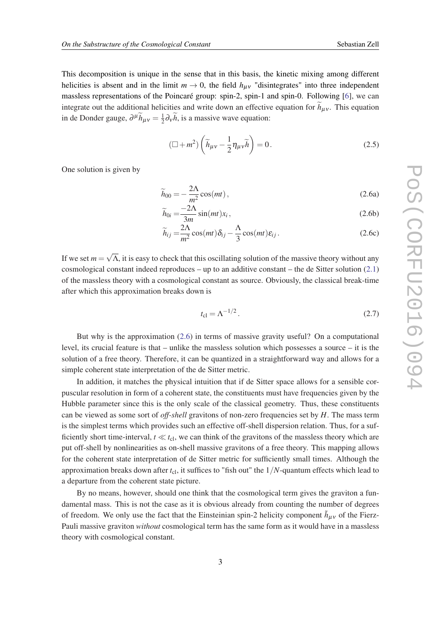<span id="page-3-0"></span>This decomposition is unique in the sense that in this basis, the kinetic mixing among different helicities is absent and in the limit  $m \to 0$ , the field  $h_{\mu\nu}$  "disintegrates" into three independent massless representations of the Poincaré group: spin-2, spin-1 and spin-0. Following [[6](#page-14-0)], we can integrate out the additional helicities and write down an effective equation for  $h_{\mu\nu}$ . This equation in de Donder gauge,  $\partial^{\mu} \widetilde{h}_{\mu\nu} = \frac{1}{2}$  $\frac{1}{2}\partial_{\mathbf{v}}h$ , is a massive wave equation:

$$
\left(\Box + m^2\right) \left(\widetilde{h}_{\mu\nu} - \frac{1}{2} \eta_{\mu\nu} \widetilde{h}\right) = 0. \tag{2.5}
$$

One solution is given by

$$
\widetilde{h}_{00} = -\frac{2\Lambda}{m^2} \cos(mt) \,, \tag{2.6a}
$$

$$
\widetilde{h}_{0i} = \frac{-2\Lambda}{3m} \sin(mt)x_i, \qquad (2.6b)
$$

$$
\widetilde{h}_{ij} = \frac{2\Lambda}{m^2} \cos(mt)\delta_{ij} - \frac{\Lambda}{3} \cos(mt)\varepsilon_{ij}.
$$
\n(2.6c)

If we set  $m =$ √ Λ, it is easy to check that this oscillating solution of the massive theory without any cosmological constant indeed reproduces – up to an additive constant – the de Sitter solution ([2.1](#page-2-0)) of the massless theory with a cosmological constant as source. Obviously, the classical break-time after which this approximation breaks down is

$$
t_{\rm cl} = \Lambda^{-1/2}.
$$
 (2.7)

But why is the approximation (2.6) in terms of massive gravity useful? On a computational level, its crucial feature is that – unlike the massless solution which possesses a source – it is the solution of a free theory. Therefore, it can be quantized in a straightforward way and allows for a simple coherent state interpretation of the de Sitter metric.

In addition, it matches the physical intuition that if de Sitter space allows for a sensible corpuscular resolution in form of a coherent state, the constituents must have frequencies given by the Hubble parameter since this is the only scale of the classical geometry. Thus, these constituents can be viewed as some sort of *off-shell* gravitons of non-zero frequencies set by *H*. The mass term is the simplest terms which provides such an effective off-shell dispersion relation. Thus, for a sufficiently short time-interval,  $t \ll t_{\rm cl}$ , we can think of the gravitons of the massless theory which are put off-shell by nonlinearities as on-shell massive gravitons of a free theory. This mapping allows for the coherent state interpretation of de Sitter metric for sufficiently small times. Although the approximation breaks down after *t*<sub>cl</sub>, it suffices to "fish out" the 1/*N*-quantum effects which lead to a departure from the coherent state picture.

By no means, however, should one think that the cosmological term gives the graviton a fundamental mass. This is not the case as it is obvious already from counting the number of degrees of freedom. We only use the fact that the Einsteinian spin-2 helicity component  $\tilde{h}_{\mu\nu}$  of the Fierz-Pauli massive graviton *without* cosmological term has the same form as it would have in a massless theory with cosmological constant.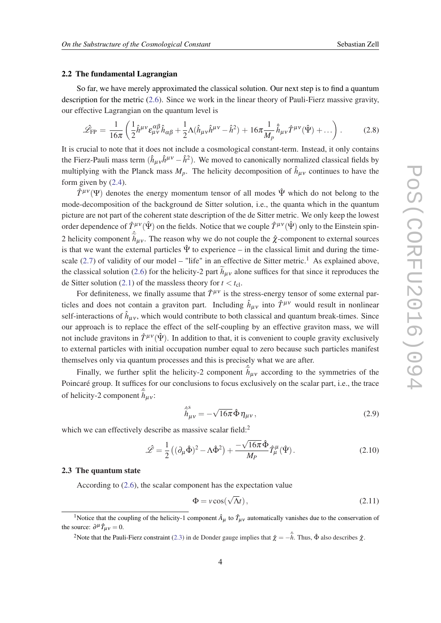#### <span id="page-4-0"></span>2.2 The fundamental Lagrangian

So far, we have merely approximated the classical solution. Our next step is to find a quantum description for the metric ([2.6](#page-3-0)). Since we work in the linear theory of Pauli-Fierz massive gravity, our effective Lagrangian on the quantum level is

$$
\hat{\mathcal{L}}_{\text{FP}} = \frac{1}{16\pi} \left( \frac{1}{2} \hat{h}^{\mu\nu} \varepsilon_{\mu\nu}^{\alpha\beta} \hat{h}_{\alpha\beta} + \frac{1}{2} \Lambda (\hat{h}_{\mu\nu} \hat{h}^{\mu\nu} - \hat{h}^2) + 16\pi \frac{1}{M_p} \hat{h}_{\mu\nu} \hat{T}^{\mu\nu} (\hat{\Psi}) + \dots \right). \tag{2.8}
$$

It is crucial to note that it does not include a cosmological constant-term. Instead, it only contains the Fierz-Pauli mass term  $(\hat{h}_{\mu\nu}\hat{h}^{\mu\nu} - \hat{h}^2)$ . We moved to canonically normalized classical fields by multiplying with the Planck mass  $M_p$ . The helicity decomposition of  $\hat{h}_{\mu\nu}$  continues to have the form given by [\(2.4\)](#page-2-0).

 $\hat{T}^{\mu\nu}(\Psi)$  denotes the energy momentum tensor of all modes  $\hat{\Psi}$  which do not belong to the mode-decomposition of the background de Sitter solution, i.e., the quanta which in the quantum picture are not part of the coherent state description of the de Sitter metric. We only keep the lowest order dependence of  $\hat{T}^{\mu\nu}(\hat{\Psi})$  on the fields. Notice that we couple  $\hat{T}^{\mu\nu}(\hat{\Psi})$  only to the Einstein spin-2 helicity component  $\hat{h}_{\mu\nu}$ . The reason why we do not couple the  $\hat{\chi}$ -component to external sources is that we want the external particles  $\hat{\Psi}$  to experience – in the classical limit and during the time-scale ([2.7\)](#page-3-0) of validity of our model – "life" in an effective de Sitter metric.<sup>1</sup> As explained above, the classical solution ([2.6\)](#page-3-0) for the helicity-2 part  $h_{\mu\nu}$  alone suffices for that since it reproduces the de Sitter solution [\(2.1\)](#page-2-0) of the massless theory for  $t < t_c$ .

For definiteness, we finally assume that  $\hat{T}^{\mu\nu}$  is the stress-energy tensor of some external particles and does not contain a graviton part. Including  $\hat{h}_{\mu\nu}$  into  $\hat{T}^{\mu\nu}$  would result in nonlinear self-interactions of  $\hat{h}_{\mu\nu}$ , which would contribute to both classical and quantum break-times. Since our approach is to replace the effect of the self-coupling by an effective graviton mass, we will not include gravitons in  $\hat{T}^{\mu\nu}(\hat{\Psi})$ . In addition to that, it is convenient to couple gravity exclusively to external particles with initial occupation number equal to zero because such particles manifest themselves only via quantum processes and this is precisely what we are after.

Finally, we further split the helicity-2 component  $\hat{h}_{\mu\nu}$  according to the symmetries of the Poincaré group. It suffices for our conclusions to focus exclusively on the scalar part, i.e., the trace of helicity-2 component  $\hat{h}_{\mu\nu}$ :

$$
\hat{\tilde{h}}_{\mu\nu}^{s} = -\sqrt{16\pi}\,\hat{\Phi}\,\eta_{\mu\nu}\,,\tag{2.9}
$$

which we can effectively describe as massive scalar field:<sup>2</sup>

$$
\hat{\mathcal{L}} = \frac{1}{2} \left( (\partial_{\mu} \hat{\Phi})^2 - \Lambda \hat{\Phi}^2 \right) + \frac{-\sqrt{16\pi} \hat{\Phi}}{M_P} \hat{T}_{\mu}^{\mu} (\hat{\Psi}). \tag{2.10}
$$

#### 2.3 The quantum state

According to [\(2.6\)](#page-3-0), the scalar component has the expectation value

$$
\Phi = v \cos(\sqrt{\Lambda}t), \qquad (2.11)
$$

<sup>&</sup>lt;sup>1</sup>Notice that the coupling of the helicity-1 component  $\hat{A}_{\mu}$  to  $\hat{T}_{\mu\nu}$  automatically vanishes due to the conservation of the source:  $\partial^{\mu} \hat{T}_{\mu\nu} = 0$ .

<sup>&</sup>lt;sup>2</sup>Note that the Pauli-Fierz constraint ([2.3\)](#page-2-0) in de Donder gauge implies that  $\hat{\chi} = -\hat{h}$ . Thus,  $\hat{\Phi}$  also describes  $\hat{\chi}$ .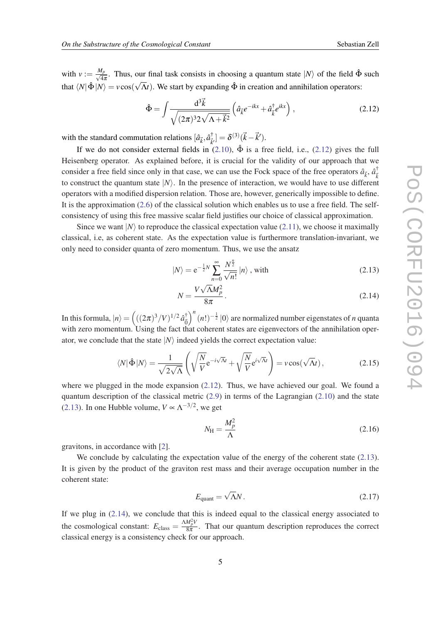<span id="page-5-0"></span>with  $v := \frac{M_p}{\sqrt{M_p}}$  $\frac{d_p}{d_\pi}$ . Thus, our final task consists in choosing a quantum state  $|N\rangle$  of the field  $\hat{\Phi}$  such that  $\langle N|\hat{\Phi}|N\rangle = v\cos(\sqrt{\Lambda}t)$ . We start by expanding  $\hat{\Phi}$  in creation and annihilation operators:

$$
\hat{\Phi} = \int \frac{d^3 \vec{k}}{\sqrt{(2\pi)^3 2\sqrt{\Lambda + \vec{k}^2}}} \left( \hat{a}_{\vec{k}} e^{-ikx} + \hat{a}_{\vec{k}}^\dagger e^{ikx} \right), \qquad (2.12)
$$

with the standard commutation relations  $[\hat{a}_{\vec{k}}, \hat{a}^{\dagger}_{\vec{k}}]$  $[\hat{k}^{\dagger}_{\vec{k}'}] = \delta^{(3)}(\vec{k}-\vec{k}').$ 

If we do not consider external fields in  $(2.10)$  $(2.10)$ ,  $\hat{\Phi}$  is a free field, i.e.,  $(2.12)$  gives the full Heisenberg operator. As explained before, it is crucial for the validity of our approach that we consider a free field since only in that case, we can use the Fock space of the free operators  $\hat{a}_{\vec{k}}, \hat{a}_{\vec{k}}^{\dagger}$ ~*k* to construct the quantum state  $|N\rangle$ . In the presence of interaction, we would have to use different operators with a modified dispersion relation. Those are, however, generically impossible to define. It is the approximation ([2.6](#page-3-0)) of the classical solution which enables us to use a free field. The selfconsistency of using this free massive scalar field justifies our choice of classical approximation.

Since we want  $|N\rangle$  to reproduce the classical expectation value ([2.11\)](#page-4-0), we choose it maximally classical, i.e, as coherent state. As the expectation value is furthermore translation-invariant, we only need to consider quanta of zero momentum. Thus, we use the ansatz

$$
|N\rangle = e^{-\frac{1}{2}N} \sum_{n=0}^{\infty} \frac{N^{\frac{n}{2}}}{\sqrt{n!}} |n\rangle \text{, with}
$$
 (2.13)

$$
N = \frac{V\sqrt{\Lambda}M_p^2}{8\pi}.
$$
\n(2.14)

In this formula,  $|n\rangle = \left(((2\pi)^3/V)^{1/2}\,\hat{a}^\dagger_{\vec{\Omega}}\right)$  $\vec{0}$  $\int_{a}^{b} (n!)^{-\frac{1}{2}} |0\rangle$  are normalized number eigenstates of *n* quanta with zero momentum. Using the fact that coherent states are eigenvectors of the annihilation operator, we conclude that the state  $|N\rangle$  indeed yields the correct expectation value:

$$
\langle N|\hat{\Phi}|N\rangle = \frac{1}{\sqrt{2\sqrt{\Lambda}}} \left( \sqrt{\frac{N}{V}} e^{-i\sqrt{\Lambda}t} + \sqrt{\frac{N}{V}} e^{i\sqrt{\Lambda}t} \right) = v \cos(\sqrt{\Lambda}t), \qquad (2.15)
$$

where we plugged in the mode expansion  $(2.12)$ . Thus, we have achieved our goal. We found a quantum description of the classical metric  $(2.9)$  in terms of the Lagrangian  $(2.10)$  and the state (2.13). In one Hubble volume,  $V \propto \Lambda^{-3/2}$ , we get

$$
N_{\rm H} = \frac{M_p^2}{\Lambda} \tag{2.16}
$$

gravitons, in accordance with [[2](#page-14-0)].

We conclude by calculating the expectation value of the energy of the coherent state (2.13). It is given by the product of the graviton rest mass and their average occupation number in the coherent state:

$$
E_{\text{quant}} = \sqrt{\Lambda} N. \tag{2.17}
$$

If we plug in (2.14), we conclude that this is indeed equal to the classical energy associated to the cosmological constant:  $E_{\text{class}} = \frac{\Delta M_p^2 V}{8\pi}$  $\frac{m_{p}v}{8\pi}$ . That our quantum description reproduces the correct classical energy is a consistency check for our approach.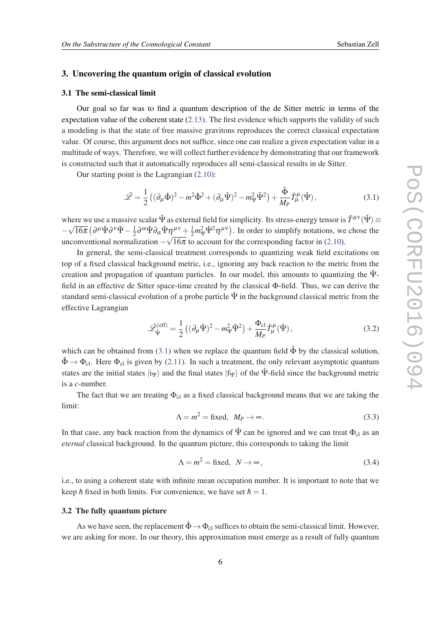#### <span id="page-6-0"></span>3. Uncovering the quantum origin of classical evolution

#### 3.1 The semi-classical limit

Our goal so far was to find a quantum description of the de Sitter metric in terms of the expectation value of the coherent state ([2.13\)](#page-5-0). The first evidence which supports the validity of such a modeling is that the state of free massive gravitons reproduces the correct classical expectation value. Of course, this argument does not suffice, since one can realize a given expectation value in a multitude of ways. Therefore, we will collect further evidence by demonstrating that our framework is constructed such that it automatically reproduces all semi-classical results in de Sitter.

Our starting point is the Lagrangian [\(2.10](#page-4-0)):

$$
\hat{\mathcal{L}} = \frac{1}{2} \left( (\partial_{\mu} \hat{\Phi})^2 - m^2 \hat{\Phi}^2 + (\partial_{\mu} \hat{\Psi})^2 - m_{\Psi}^2 \hat{\Psi}^2 \right) + \frac{\hat{\Phi}}{M_P} \hat{T}_{\mu}^{\mu} (\hat{\Psi}), \tag{3.1}
$$

where we use a massive scalar  $\hat{\Psi}$  as external field for simplicity. Its stress-energy tensor is  $\hat{T}^{\mu\nu}(\hat{\Psi}) \equiv$ − µ∟  $\overline{16\pi}\bigl(\partial^\mu \hat{\Psi} \partial^\nu \hat{\Psi} - \frac{1}{2}$  $\frac{1}{2}\partial^{\alpha}\hat{\Psi}\partial_{\alpha}\hat{\Psi}\eta^{\mu\nu} + \frac{1}{2}m_{\Psi}^{2}\hat{\Psi}^{2}\eta^{\mu\nu}$ . In order to simplify notations, we chose the unconventional normalization  $-\sqrt{16\pi}$  to account for the corresponding factor in ([2.10\)](#page-4-0).

In general, the semi-classical treatment corresponds to quantizing weak field excitations on top of a fixed classical background metric, i.e., ignoring any back reaction to the metric from the creation and propagation of quantum particles. In our model, this amounts to quantizing the  $\Psi$ field in an effective de Sitter space-time created by the classical Φ-field. Thus, we can derive the standard semi-classical evolution of a probe particle  $\hat{\Psi}$  in the background classical metric from the effective Lagrangian

$$
\hat{\mathcal{L}}_{\hat{\Psi}}^{(\text{eff})} = \frac{1}{2} \left( (\partial_{\mu} \hat{\Psi})^2 - m_{\Psi}^2 \hat{\Psi}^2 \right) + \frac{\Phi_{\text{cl}}}{M_P} \hat{T}_{\mu}^{\mu} (\hat{\Psi}), \tag{3.2}
$$

which can be obtained from (3.1) when we replace the quantum field  $\hat{\Phi}$  by the classical solution,  $\hat{\Phi} \rightarrow \Phi_{\rm cl}$ . Here  $\Phi_{\rm cl}$  is given by [\(2.11](#page-4-0)). In such a treatment, the only relevant asymptotic quantum states are the initial states  $|i_{\Psi}\rangle$  and the final states  $|f_{\Psi}\rangle$  of the Ψ-field since the background metric is a *c*-number.

The fact that we are treating  $\Phi_{cl}$  as a fixed classical background means that we are taking the limit:

$$
\Lambda = m^2 = \text{fixed}, \ M_P \to \infty. \tag{3.3}
$$

In that case, any back reaction from the dynamics of  $\hat{\Psi}$  can be ignored and we can treat  $\Phi_{cl}$  as an *eternal* classical background. In the quantum picture, this corresponds to taking the limit

$$
\Lambda = m^2 = \text{fixed}, \ N \to \infty, \tag{3.4}
$$

i.e., to using a coherent state with infinite mean occupation number. It is important to note that we keep *h* fixed in both limits. For convenience, we have set  $h = 1$ .

#### 3.2 The fully quantum picture

As we have seen, the replacement  $\hat{\Phi} \rightarrow \Phi_{cl}$  suffices to obtain the semi-classical limit. However, we are asking for more. In our theory, this approximation must emerge as a result of fully quantum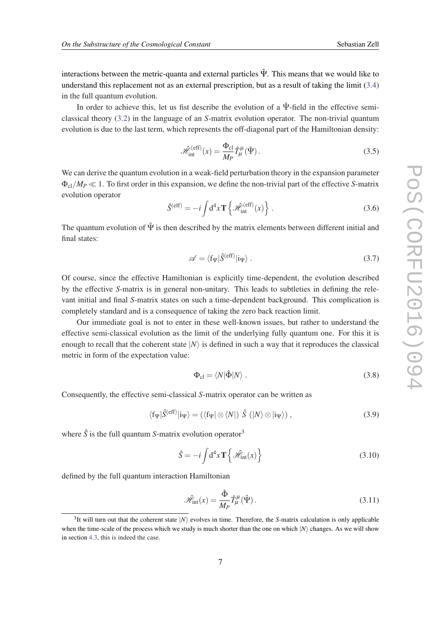<span id="page-7-0"></span>interactions between the metric-quanta and external particles  $\hat{\Psi}$ . This means that we would like to understand this replacement not as an external prescription, but as a result of taking the limit ([3.4](#page-6-0)) in the full quantum evolution.

In order to achieve this, let us fist describe the evolution of a  $\hat{\Psi}$ -field in the effective semiclassical theory [\(3.2](#page-6-0)) in the language of an *S*-matrix evolution operator. The non-trivial quantum evolution is due to the last term, which represents the off-diagonal part of the Hamiltonian density:

$$
\mathcal{H}_{int}^{(eff)}(x) = \frac{\Phi_{cl}}{M_P} \hat{T}_{\mu}^{\mu}(\hat{\Psi}).
$$
\n(3.5)

We can derive the quantum evolution in a weak-field perturbation theory in the expansion parameter  $\Phi_{\rm cl}/M_P \ll 1$ . To first order in this expansion, we define the non-trivial part of the effective *S*-matrix evolution operator

$$
\hat{S}^{(\text{eff})} = -i \int d^4 x \mathbf{T} \left\{ \mathcal{H}_{\text{int}}^{(\text{eff})}(x) \right\} . \tag{3.6}
$$

The quantum evolution of  $\hat{\Psi}$  is then described by the matrix elements between different initial and final states:

$$
\mathscr{A} = \langle f_{\Psi} | \hat{S}^{(\text{eff})} | i_{\Psi} \rangle . \tag{3.7}
$$

Of course, since the effective Hamiltonian is explicitly time-dependent, the evolution described by the effective *S*-matrix is in general non-unitary. This leads to subtleties in defining the relevant initial and final *S*-matrix states on such a time-dependent background. This complication is completely standard and is a consequence of taking the zero back reaction limit.

Our immediate goal is not to enter in these well-known issues, but rather to understand the effective semi-classical evolution as the limit of the underlying fully quantum one. For this it is enough to recall that the coherent state  $|N\rangle$  is defined in such a way that it reproduces the classical metric in form of the expectation value:

$$
\Phi_{\rm cl} = \langle N | \hat{\Phi} | N \rangle \,. \tag{3.8}
$$

Consequently, the effective semi-classical *S*-matrix operator can be written as

$$
\langle f_{\Psi} | \hat{S}^{\text{(eff)}} | i_{\Psi} \rangle = (\langle f_{\Psi} | \otimes \langle N |) \hat{S} \ ( |N \rangle \otimes | i_{\Psi} \rangle ) , \qquad (3.9)
$$

where  $\hat{S}$  is the full quantum *S*-matrix evolution operator<sup>3</sup>

$$
\hat{S} = -i \int d^4 x \mathbf{T} \left\{ \mathcal{H}_{\text{int}}(x) \right\} \tag{3.10}
$$

defined by the full quantum interaction Hamiltonian

$$
\hat{\mathcal{H}}_{\rm int}(x) = \frac{\hat{\Phi}}{M_P} \hat{T}_{\mu}^{\mu}(\hat{\Psi}).
$$
\n(3.11)

<sup>&</sup>lt;sup>3</sup>It will turn out that the coherent state  $|N\rangle$  evolves in time. Therefore, the *S*-matrix calculation is only applicable when the time-scale of the process which we study is much shorter than the one on which  $|N\rangle$  changes. As we will show in section [4.3](#page-11-0), this is indeed the case.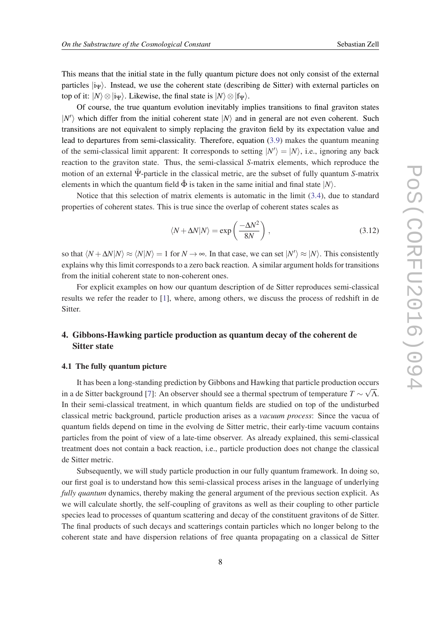<span id="page-8-0"></span>This means that the initial state in the fully quantum picture does not only consist of the external particles  $|i_{\Psi}\rangle$ . Instead, we use the coherent state (describing de Sitter) with external particles on top of it:  $|N\rangle \otimes |i_{\Psi}\rangle$ . Likewise, the final state is  $|N\rangle \otimes |f_{\Psi}\rangle$ .

Of course, the true quantum evolution inevitably implies transitions to final graviton states  $|N'\rangle$  which differ from the initial coherent state  $|N\rangle$  and in general are not even coherent. Such transitions are not equivalent to simply replacing the graviton field by its expectation value and lead to departures from semi-classicality. Therefore, equation [\(3.9\)](#page-7-0) makes the quantum meaning of the semi-classical limit apparent: It corresponds to setting  $|N'\rangle = |N\rangle$ , i.e., ignoring any back reaction to the graviton state. Thus, the semi-classical *S*-matrix elements, which reproduce the motion of an external Ψˆ -particle in the classical metric, are the subset of fully quantum *S*-matrix elements in which the quantum field  $\hat{\Phi}$  is taken in the same initial and final state  $|N\rangle$ .

Notice that this selection of matrix elements is automatic in the limit ([3.4](#page-6-0)), due to standard properties of coherent states. This is true since the overlap of coherent states scales as

$$
\langle N + \Delta N | N \rangle = \exp\left(\frac{-\Delta N^2}{8N}\right),\tag{3.12}
$$

so that  $\langle N + \Delta N | N \rangle \approx \langle N | N \rangle = 1$  for  $N \to \infty$ . In that case, we can set  $|N'\rangle \approx |N\rangle$ . This consistently explains why this limit corresponds to a zero back reaction. A similar argument holds for transitions from the initial coherent state to non-coherent ones.

For explicit examples on how our quantum description of de Sitter reproduces semi-classical results we refer the reader to [[1](#page-14-0)], where, among others, we discuss the process of redshift in de Sitter.

# 4. Gibbons-Hawking particle production as quantum decay of the coherent de Sitter state

#### 4.1 The fully quantum picture

It has been a long-standing prediction by Gibbons and Hawking that particle production occurs √ in a de Sitter background [\[7\]](#page-14-0): An observer should see a thermal spectrum of temperature  $T \sim \sqrt{\Lambda}$ . In their semi-classical treatment, in which quantum fields are studied on top of the undisturbed classical metric background, particle production arises as a *vacuum process*: Since the vacua of quantum fields depend on time in the evolving de Sitter metric, their early-time vacuum contains particles from the point of view of a late-time observer. As already explained, this semi-classical treatment does not contain a back reaction, i.e., particle production does not change the classical de Sitter metric.

Subsequently, we will study particle production in our fully quantum framework. In doing so, our first goal is to understand how this semi-classical process arises in the language of underlying *fully quantum* dynamics, thereby making the general argument of the previous section explicit. As we will calculate shortly, the self-coupling of gravitons as well as their coupling to other particle species lead to processes of quantum scattering and decay of the constituent gravitons of de Sitter. The final products of such decays and scatterings contain particles which no longer belong to the coherent state and have dispersion relations of free quanta propagating on a classical de Sitter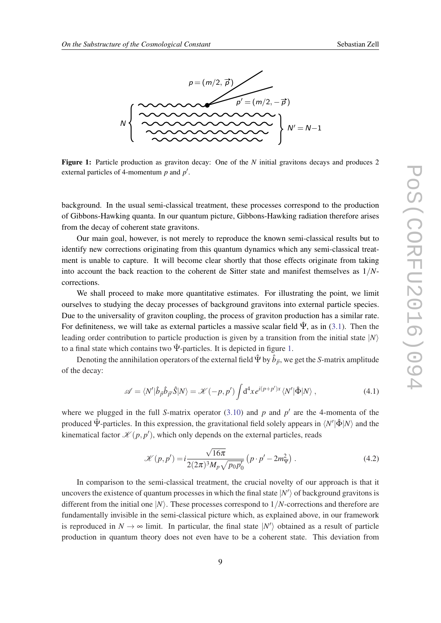

Figure 1: Particle production as graviton decay: One of the *N* initial gravitons decays and produces 2 external particles of 4-momentum  $p$  and  $p'$ .

background. In the usual semi-classical treatment, these processes correspond to the production of Gibbons-Hawking quanta. In our quantum picture, Gibbons-Hawking radiation therefore arises from the decay of coherent state gravitons.

1 into account the back reaction to the coherent de Sitter state and manifest themselves as 1/*N*-Our main goal, however, is not merely to reproduce the known semi-classical results but to identify new corrections originating from this quantum dynamics which any semi-classical treatment is unable to capture. It will become clear shortly that those effects originate from taking corrections.

We shall proceed to make more quantitative estimates. For illustrating the point, we limit ourselves to studying the decay processes of background gravitons into external particle species. Due to the universality of graviton coupling, the process of graviton production has a similar rate. For definiteness, we will take as external particles a massive scalar field  $\hat{\Psi}$ , as in ([3.1](#page-6-0)). Then the leading order contribution to particle production is given by a transition from the initial state  $|N\rangle$ to a final state which contains two  $\hat{\Psi}$ -particles. It is depicted in figure 1.

Denoting the annihilation operators of the external field  $\hat{\Psi}$  by  $\hat{b}_{\vec{p}},$  we get the *S*-matrix amplitude of the decay:

$$
\mathscr{A} = \langle N' | \hat{b}_{\vec{p}} \hat{b}_{\vec{p}'} \hat{S} | N \rangle = \mathscr{K}(-p, p') \int d^4x e^{i(p+p')x} \langle N' | \hat{\Phi} | N \rangle , \qquad (4.1)
$$

where we plugged in the full *S*-matrix operator  $(3.10)$  $(3.10)$  $(3.10)$  and  $p$  and  $p'$  are the 4-momenta of the produced  $\hat{\Psi}$ -particles. In this expression, the gravitational field solely appears in  $\langle N'|\hat{\Phi}|N\rangle$  and the kinematical factor  $\mathcal{K}(p, p')$ , which only depends on the external particles, reads

$$
\mathcal{K}(p, p') = i \frac{\sqrt{16\pi}}{2(2\pi)^3 M_p \sqrt{p_0 p'_0}} \left( p \cdot p' - 2m_{\Psi}^2 \right). \tag{4.2}
$$

In comparison to the semi-classical treatment, the crucial novelty of our approach is that it uncovers the existence of quantum processes in which the final state  $|N'\rangle$  of background gravitons is different from the initial one  $|N\rangle$ . These processes correspond to  $1/N$ -corrections and therefore are fundamentally invisible in the semi-classical picture which, as explained above, in our framework is reproduced in  $N \to \infty$  limit. In particular, the final state  $|N'\rangle$  obtained as a result of particle production in quantum theory does not even have to be a coherent state. This deviation from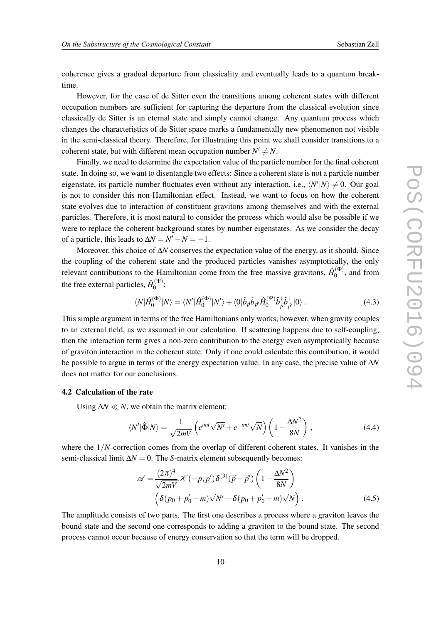coherence gives a gradual departure from classicality and eventually leads to a quantum breaktime.

However, for the case of de Sitter even the transitions among coherent states with different occupation numbers are sufficient for capturing the departure from the classical evolution since classically de Sitter is an eternal state and simply cannot change. Any quantum process which changes the characteristics of de Sitter space marks a fundamentally new phenomenon not visible in the semi-classical theory. Therefore, for illustrating this point we shall consider transitions to a coherent state, but with different mean occupation number  $N' \neq N$ .

Finally, we need to determine the expectation value of the particle number for the final coherent state. In doing so, we want to disentangle two effects: Since a coherent state is not a particle number eigenstate, its particle number fluctuates even without any interaction, i.e.,  $\langle N' | N \rangle \neq 0$ . Our goal is not to consider this non-Hamiltonian effect. Instead, we want to focus on how the coherent state evolves due to interaction of constituent gravitons among themselves and with the external particles. Therefore, it is most natural to consider the process which would also be possible if we were to replace the coherent background states by number eigenstates. As we consider the decay of a particle, this leads to  $\Delta N = N' - N = -1$ .

Moreover, this choice of ∆*N* conserves the expectation value of the energy, as it should. Since the coupling of the coherent state and the produced particles vanishes asymptotically, the only relevant contributions to the Hamiltonian come from the free massive gravitons,  $\hat{H}_0^{(\Phi)}$  $\binom{(\Psi)}{0}$ , and from the free external particles,  $\hat{H}_0^{(\Psi)}$  $\overset{\scriptscriptstyle{\text{\tiny{(T)}}}}{0}$ :

$$
\langle N|\hat{H}_0^{(\Phi)}|N\rangle = \langle N'|\hat{H}_0^{(\Phi)}|N'\rangle + \langle 0|\hat{b}_{\vec{p}}\hat{b}_{\vec{p}'}\hat{H}_0^{(\Psi)}\hat{b}_{\vec{p}}^{\dagger}\hat{b}_{\vec{p}'}^{\dagger}|0\rangle. \tag{4.3}
$$

This simple argument in terms of the free Hamiltonians only works, however, when gravity couples to an external field, as we assumed in our calculation. If scattering happens due to self-coupling, then the interaction term gives a non-zero contribution to the energy even asymptotically because of graviton interaction in the coherent state. Only if one could calculate this contribution, it would be possible to argue in terms of the energy expectation value. In any case, the precise value of ∆*N* does not matter for our conclusions.

#### 4.2 Calculation of the rate

Using  $\Delta N \ll N$ , we obtain the matrix element:

$$
\langle N'|\hat{\Phi}|N\rangle = \frac{1}{\sqrt{2mV}} \left( e^{imt} \sqrt{N'} + e^{-imt} \sqrt{N} \right) \left( 1 - \frac{\Delta N^2}{8N} \right), \tag{4.4}
$$

where the  $1/N$ -correction comes from the overlap of different coherent states. It vanishes in the semi-classical limit  $\Delta N = 0$ . The *S*-matrix element subsequently becomes:

$$
\mathscr{A} = \frac{(2\pi)^4}{\sqrt{2mV}} \mathscr{K}(-p, p') \delta^{(3)}(\vec{p} + \vec{p}') \left(1 - \frac{\Delta N^2}{8N}\right)
$$

$$
\left(\delta(p_0 + p'_0 - m)\sqrt{N'} + \delta(p_0 + p'_0 + m)\sqrt{N}\right). \tag{4.5}
$$

The amplitude consists of two parts. The first one describes a process where a graviton leaves the bound state and the second one corresponds to adding a graviton to the bound state. The second process cannot occur because of energy conservation so that the term will be dropped.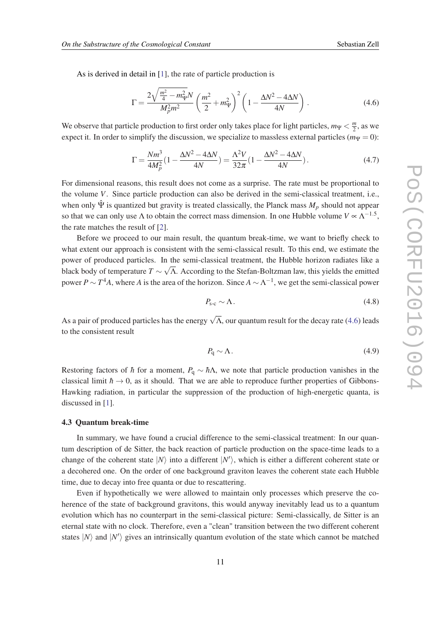<span id="page-11-0"></span>As is derived in detail in [[1](#page-14-0)], the rate of particle production is

$$
\Gamma = \frac{2\sqrt{\frac{m^2}{4} - m_W^2}N}{M_p^2 m^2} \left(\frac{m^2}{2} + m_W^2\right)^2 \left(1 - \frac{\Delta N^2 - 4\Delta N}{4N}\right). \tag{4.6}
$$

We observe that particle production to first order only takes place for light particles,  $m_{\Psi} < \frac{m}{2}$  $\frac{m}{2}$ , as we expect it. In order to simplify the discussion, we specialize to massless external particles ( $m_{\Psi} = 0$ ):

$$
\Gamma = \frac{Nm^3}{4M_p^2} (1 - \frac{\Delta N^2 - 4\Delta N}{4N}) = \frac{\Lambda^2 V}{32\pi} (1 - \frac{\Delta N^2 - 4\Delta N}{4N}).
$$
\n(4.7)

For dimensional reasons, this result does not come as a surprise. The rate must be proportional to the volume *V*. Since particle production can also be derived in the semi-classical treatment, i.e., when only  $\hat{\Psi}$  is quantized but gravity is treated classically, the Planck mass  $M_p$  should not appear so that we can only use  $\Lambda$  to obtain the correct mass dimension. In one Hubble volume  $V \propto \Lambda^{-1.5}$ , the rate matches the result of [\[2\]](#page-14-0).

Before we proceed to our main result, the quantum break-time, we want to briefly check to what extent our approach is consistent with the semi-classical result. To this end, we estimate the power of produced particles. In the semi-classical treatment, the Hubble horizon radiates like a black body of temperature  $T \sim \sqrt{\Lambda}$ . According to the Stefan-Boltzman law, this yields the emitted power  $P \sim T^4 A$ , where *A* is the area of the horizon. Since  $A \sim \Lambda^{-1}$ , we get the semi-classical power

$$
P_{\rm s-c} \sim \Lambda. \tag{4.8}
$$

As a pair of produced particles has the energy  $\sqrt{\Lambda}$ , our quantum result for the decay rate (4.6) leads to the consistent result

$$
P_{\rm q} \sim \Lambda. \tag{4.9}
$$

Restoring factors of *h* for a moment,  $P_q \sim h\Lambda$ , we note that particle production vanishes in the classical limit  $\hbar \rightarrow 0$ , as it should. That we are able to reproduce further properties of Gibbons-Hawking radiation, in particular the suppression of the production of high-energetic quanta, is discussed in [[1](#page-14-0)].

#### 4.3 Quantum break-time

In summary, we have found a crucial difference to the semi-classical treatment: In our quantum description of de Sitter, the back reaction of particle production on the space-time leads to a change of the coherent state  $|N\rangle$  into a different  $|N'\rangle$ , which is either a different coherent state or a decohered one. On the order of one background graviton leaves the coherent state each Hubble time, due to decay into free quanta or due to rescattering.

Even if hypothetically we were allowed to maintain only processes which preserve the coherence of the state of background gravitons, this would anyway inevitably lead us to a quantum evolution which has no counterpart in the semi-classical picture: Semi-classically, de Sitter is an eternal state with no clock. Therefore, even a "clean" transition between the two different coherent states  $|N\rangle$  and  $|N'\rangle$  gives an intrinsically quantum evolution of the state which cannot be matched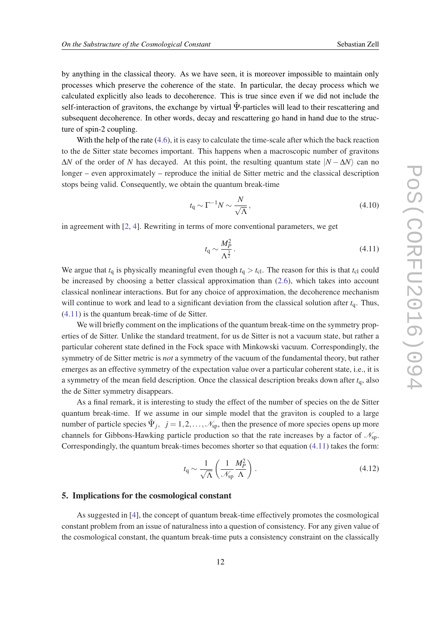<span id="page-12-0"></span>by anything in the classical theory. As we have seen, it is moreover impossible to maintain only processes which preserve the coherence of the state. In particular, the decay process which we calculated explicitly also leads to decoherence. This is true since even if we did not include the self-interaction of gravitons, the exchange by virtual  $\hat{\Psi}$ -particles will lead to their rescattering and subsequent decoherence. In other words, decay and rescattering go hand in hand due to the structure of spin-2 coupling.

With the help of the rate [\(4.6\)](#page-11-0), it is easy to calculate the time-scale after which the back reaction to the de Sitter state becomes important. This happens when a macroscopic number of gravitons  $\Delta N$  of the order of *N* has decayed. At this point, the resulting quantum state  $|N - \Delta N\rangle$  can no longer – even approximately – reproduce the initial de Sitter metric and the classical description stops being valid. Consequently, we obtain the quantum break-time

$$
t_{\rm q} \sim \Gamma^{-1} N \sim \frac{N}{\sqrt{\Lambda}},\tag{4.10}
$$

in agreement with [\[2,](#page-14-0) [4\]](#page-14-0). Rewriting in terms of more conventional parameters, we get

$$
t_{\rm q} \sim \frac{M_P^2}{\Lambda^{\frac{3}{2}}}.\tag{4.11}
$$

We argue that  $t_q$  is physically meaningful even though  $t_q > t_{cl}$ . The reason for this is that  $t_{cl}$  could be increased by choosing a better classical approximation than [\(2.6\)](#page-3-0), which takes into account classical nonlinear interactions. But for any choice of approximation, the decoherence mechanism will continue to work and lead to a significant deviation from the classical solution after *t*q. Thus, (4.11) is the quantum break-time of de Sitter.

We will briefly comment on the implications of the quantum break-time on the symmetry properties of de Sitter. Unlike the standard treatment, for us de Sitter is not a vacuum state, but rather a particular coherent state defined in the Fock space with Minkowski vacuum. Correspondingly, the symmetry of de Sitter metric is *not* a symmetry of the vacuum of the fundamental theory, but rather emerges as an effective symmetry of the expectation value over a particular coherent state, i.e., it is a symmetry of the mean field description. Once the classical description breaks down after  $t<sub>q</sub>$ , also the de Sitter symmetry disappears.

As a final remark, it is interesting to study the effect of the number of species on the de Sitter quantum break-time. If we assume in our simple model that the graviton is coupled to a large number of particle species  $\hat{\Psi}_j$ ,  $j = 1, 2, \dots, \mathcal{N}_{sp}$ , then the presence of more species opens up more channels for Gibbons-Hawking particle production so that the rate increases by a factor of  $\mathcal{N}_{\text{sp}}$ . Correspondingly, the quantum break-times becomes shorter so that equation (4.11) takes the form:

$$
t_{\rm q} \sim \frac{1}{\sqrt{\Lambda}} \left( \frac{1}{\mathcal{N}_{\rm sp}} \frac{M_P^2}{\Lambda} \right). \tag{4.12}
$$

#### 5. Implications for the cosmological constant

As suggested in [\[4\]](#page-14-0), the concept of quantum break-time effectively promotes the cosmological constant problem from an issue of naturalness into a question of consistency. For any given value of the cosmological constant, the quantum break-time puts a consistency constraint on the classically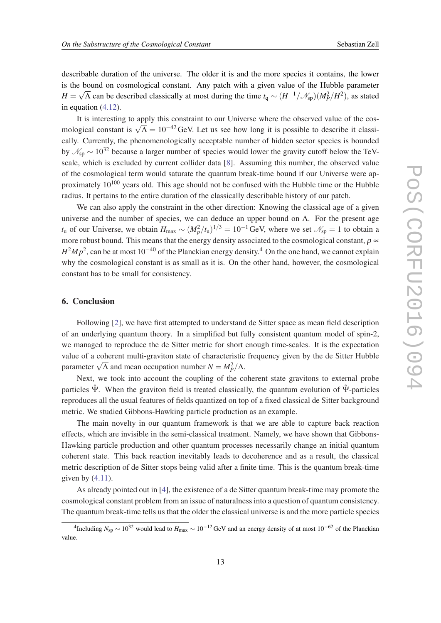<span id="page-13-0"></span>describable duration of the universe. The older it is and the more species it contains, the lower is the bound on cosmological constant. Any patch with a given value of the Hubble parameter *H* =  $\sqrt{\Lambda}$  can be described classically at most during the time  $t_q \sim (H^{-1}/\mathcal{N}_{sp})(M_P^2/H^2)$ , as stated in equation [\(4.12\)](#page-12-0).

It is interesting to apply this constraint to our Universe where the observed value of the cos-It is interesting to apply this constraint to our enfinerse where the observed value of the cos-<br>mological constant is  $\sqrt{\Lambda} = 10^{-42}$  GeV. Let us see how long it is possible to describe it classically. Currently, the phenomenologically acceptable number of hidden sector species is bounded by  $\mathcal{N}_{\rm sn} \sim 10^{32}$  because a larger number of species would lower the gravity cutoff below the TeVscale, which is excluded by current collider data [[8](#page-14-0)]. Assuming this number, the observed value of the cosmological term would saturate the quantum break-time bound if our Universe were approximately  $10^{100}$  years old. This age should not be confused with the Hubble time or the Hubble radius. It pertains to the entire duration of the classically describable history of our patch.

We can also apply the constraint in the other direction: Knowing the classical age of a given universe and the number of species, we can deduce an upper bound on  $\Lambda$ . For the present age *t*<sub>u</sub> of our Universe, we obtain  $H_{\text{max}} \sim (M_p^2/t_u)^{1/3} = 10^{-1}$  GeV, where we set  $\mathcal{N}_{\text{sp}} = 1$  to obtain a more robust bound. This means that the energy density associated to the cosmological constant,  $\rho \propto$ *H*<sup>2</sup>*M*<sub>*p*</sub><sup>2</sup>, can be at most 10<sup>−40</sup> of the Planckian energy density.<sup>4</sup> On the one hand, we cannot explain why the cosmological constant is as small as it is. On the other hand, however, the cosmological constant has to be small for consistency.

# 6. Conclusion

Following [[2](#page-14-0)], we have first attempted to understand de Sitter space as mean field description of an underlying quantum theory. In a simplified but fully consistent quantum model of spin-2, we managed to reproduce the de Sitter metric for short enough time-scales. It is the expectation value of a coherent multi-graviton state of characteristic frequency given by the de Sitter Hubble parameter  $\sqrt{\Lambda}$  and mean occupation number  $N = M_P^2/\Lambda$ .

Next, we took into account the coupling of the coherent state gravitons to external probe particles  $\hat{\Psi}$ . When the graviton field is treated classically, the quantum evolution of  $\hat{\Psi}$ -particles reproduces all the usual features of fields quantized on top of a fixed classical de Sitter background metric. We studied Gibbons-Hawking particle production as an example.

The main novelty in our quantum framework is that we are able to capture back reaction effects, which are invisible in the semi-classical treatment. Namely, we have shown that Gibbons-Hawking particle production and other quantum processes necessarily change an initial quantum coherent state. This back reaction inevitably leads to decoherence and as a result, the classical metric description of de Sitter stops being valid after a finite time. This is the quantum break-time given by  $(4.11)$  $(4.11)$ .

As already pointed out in [\[4\]](#page-14-0), the existence of a de Sitter quantum break-time may promote the cosmological constant problem from an issue of naturalness into a question of quantum consistency. The quantum break-time tells us that the older the classical universe is and the more particle species

<sup>&</sup>lt;sup>4</sup>Including  $N_{\rm sp} \sim 10^{32}$  would lead to  $H_{\rm max} \sim 10^{-12}$  GeV and an energy density of at most 10<sup>-62</sup> of the Planckian value.